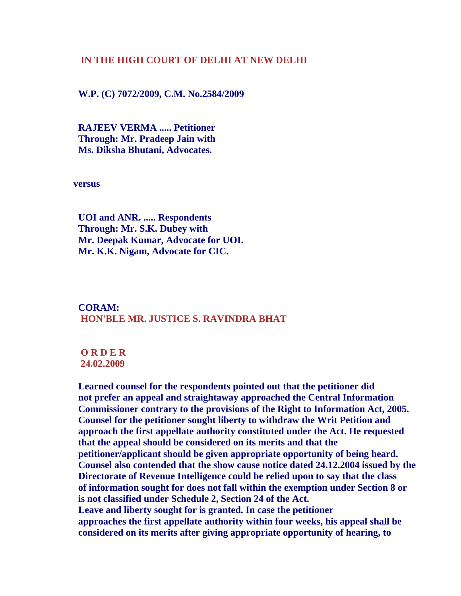## **IN THE HIGH COURT OF DELHI AT NEW DELHI**

## **W.P. (C) 7072/2009, C.M. No.2584/2009**

 **RAJEEV VERMA ..... Petitioner Through: Mr. Pradeep Jain with Ms. Diksha Bhutani, Advocates.** 

**versus** 

 **UOI and ANR. ..... Respondents Through: Mr. S.K. Dubey with Mr. Deepak Kumar, Advocate for UOI. Mr. K.K. Nigam, Advocate for CIC.** 

 **CORAM: HON'BLE MR. JUSTICE S. RAVINDRA BHAT**

 **O R D E R 24.02.2009**

 **Learned counsel for the respondents pointed out that the petitioner did not prefer an appeal and straightaway approached the Central Information Commissioner contrary to the provisions of the Right to Information Act, 2005. Counsel for the petitioner sought liberty to withdraw the Writ Petition and approach the first appellate authority constituted under the Act. He requested that the appeal should be considered on its merits and that the petitioner/applicant should be given appropriate opportunity of being heard. Counsel also contended that the show cause notice dated 24.12.2004 issued by the Directorate of Revenue Intelligence could be relied upon to say that the class of information sought for does not fall within the exemption under Section 8 or is not classified under Schedule 2, Section 24 of the Act. Leave and liberty sought for is granted. In case the petitioner approaches the first appellate authority within four weeks, his appeal shall be considered on its merits after giving appropriate opportunity of hearing, to**